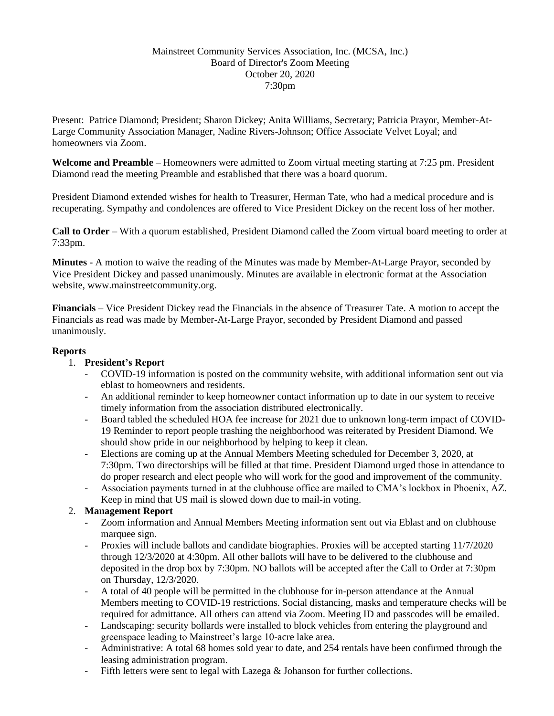### Mainstreet Community Services Association, Inc. (MCSA, Inc.) Board of Director's Zoom Meeting October 20, 2020 7:30pm

Present: Patrice Diamond; President; Sharon Dickey; Anita Williams, Secretary; Patricia Prayor, Member-At-Large Community Association Manager, Nadine Rivers-Johnson; Office Associate Velvet Loyal; and homeowners via Zoom.

**Welcome and Preamble** – Homeowners were admitted to Zoom virtual meeting starting at 7:25 pm. President Diamond read the meeting Preamble and established that there was a board quorum.

President Diamond extended wishes for health to Treasurer, Herman Tate, who had a medical procedure and is recuperating. Sympathy and condolences are offered to Vice President Dickey on the recent loss of her mother.

**Call to Order** – With a quorum established, President Diamond called the Zoom virtual board meeting to order at 7:33pm.

**Minutes** - A motion to waive the reading of the Minutes was made by Member-At-Large Prayor, seconded by Vice President Dickey and passed unanimously. Minutes are available in electronic format at the Association website, www.mainstreetcommunity.org.

**Financials** – Vice President Dickey read the Financials in the absence of Treasurer Tate. A motion to accept the Financials as read was made by Member-At-Large Prayor, seconded by President Diamond and passed unanimously.

## **Reports**

## 1. **President's Report**

- COVID-19 information is posted on the community website, with additional information sent out via eblast to homeowners and residents.
- An additional reminder to keep homeowner contact information up to date in our system to receive timely information from the association distributed electronically.
- Board tabled the scheduled HOA fee increase for 2021 due to unknown long-term impact of COVID-19 Reminder to report people trashing the neighborhood was reiterated by President Diamond. We should show pride in our neighborhood by helping to keep it clean.
- Elections are coming up at the Annual Members Meeting scheduled for December 3, 2020, at 7:30pm. Two directorships will be filled at that time. President Diamond urged those in attendance to do proper research and elect people who will work for the good and improvement of the community.
- Association payments turned in at the clubhouse office are mailed to CMA's lockbox in Phoenix, AZ. Keep in mind that US mail is slowed down due to mail-in voting.

# 2. **Management Report**

- Zoom information and Annual Members Meeting information sent out via Eblast and on clubhouse marquee sign.
- Proxies will include ballots and candidate biographies. Proxies will be accepted starting 11/7/2020 through 12/3/2020 at 4:30pm. All other ballots will have to be delivered to the clubhouse and deposited in the drop box by 7:30pm. NO ballots will be accepted after the Call to Order at 7:30pm on Thursday, 12/3/2020.
- A total of 40 people will be permitted in the clubhouse for in-person attendance at the Annual Members meeting to COVID-19 restrictions. Social distancing, masks and temperature checks will be required for admittance. All others can attend via Zoom. Meeting ID and passcodes will be emailed.
- Landscaping: security bollards were installed to block vehicles from entering the playground and greenspace leading to Mainstreet's large 10-acre lake area.
- Administrative: A total 68 homes sold year to date, and 254 rentals have been confirmed through the leasing administration program.
- Fifth letters were sent to legal with Lazega & Johanson for further collections.